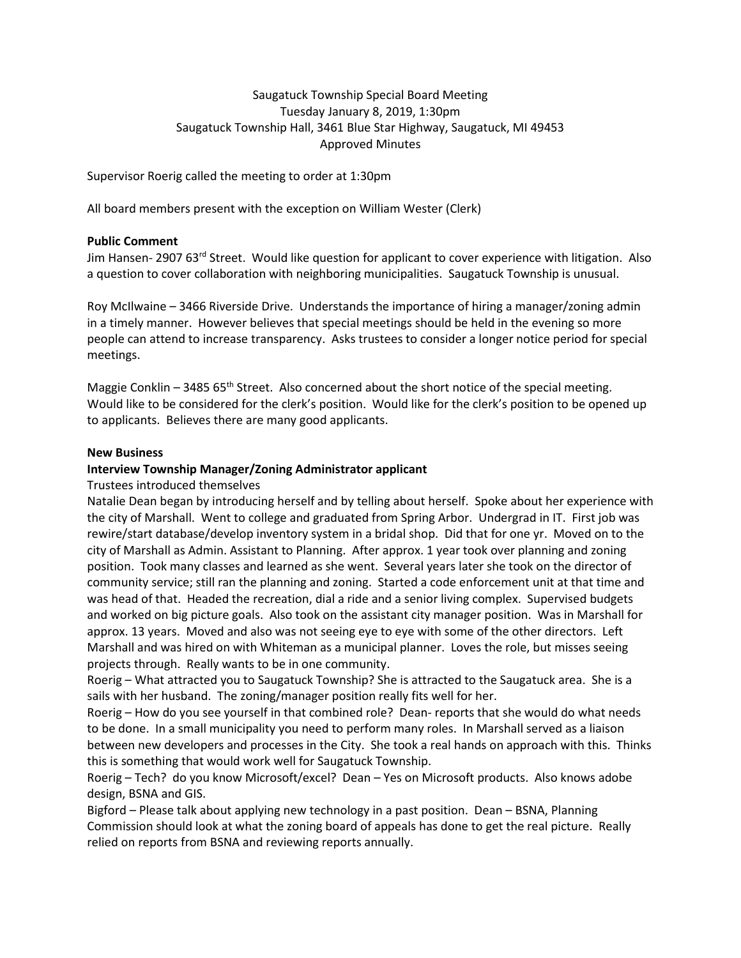## Saugatuck Township Special Board Meeting Tuesday January 8, 2019, 1:30pm Saugatuck Township Hall, 3461 Blue Star Highway, Saugatuck, MI 49453 Approved Minutes

Supervisor Roerig called the meeting to order at 1:30pm

All board members present with the exception on William Wester (Clerk)

## **Public Comment**

Jim Hansen- 2907 63<sup>rd</sup> Street. Would like question for applicant to cover experience with litigation. Also a question to cover collaboration with neighboring municipalities. Saugatuck Township is unusual.

Roy McIlwaine – 3466 Riverside Drive. Understands the importance of hiring a manager/zoning admin in a timely manner. However believes that special meetings should be held in the evening so more people can attend to increase transparency. Asks trustees to consider a longer notice period for special meetings.

Maggie Conklin – 3485  $65<sup>th</sup>$  Street. Also concerned about the short notice of the special meeting. Would like to be considered for the clerk's position. Would like for the clerk's position to be opened up to applicants. Believes there are many good applicants.

## **New Business**

## **Interview Township Manager/Zoning Administrator applicant**

Trustees introduced themselves

Natalie Dean began by introducing herself and by telling about herself. Spoke about her experience with the city of Marshall. Went to college and graduated from Spring Arbor. Undergrad in IT. First job was rewire/start database/develop inventory system in a bridal shop. Did that for one yr. Moved on to the city of Marshall as Admin. Assistant to Planning. After approx. 1 year took over planning and zoning position. Took many classes and learned as she went. Several years later she took on the director of community service; still ran the planning and zoning. Started a code enforcement unit at that time and was head of that. Headed the recreation, dial a ride and a senior living complex. Supervised budgets and worked on big picture goals. Also took on the assistant city manager position. Was in Marshall for approx. 13 years. Moved and also was not seeing eye to eye with some of the other directors. Left Marshall and was hired on with Whiteman as a municipal planner. Loves the role, but misses seeing projects through. Really wants to be in one community.

Roerig – What attracted you to Saugatuck Township? She is attracted to the Saugatuck area. She is a sails with her husband. The zoning/manager position really fits well for her.

Roerig – How do you see yourself in that combined role? Dean- reports that she would do what needs to be done. In a small municipality you need to perform many roles. In Marshall served as a liaison between new developers and processes in the City. She took a real hands on approach with this. Thinks this is something that would work well for Saugatuck Township.

Roerig – Tech? do you know Microsoft/excel? Dean – Yes on Microsoft products. Also knows adobe design, BSNA and GIS.

Bigford – Please talk about applying new technology in a past position. Dean – BSNA, Planning Commission should look at what the zoning board of appeals has done to get the real picture. Really relied on reports from BSNA and reviewing reports annually.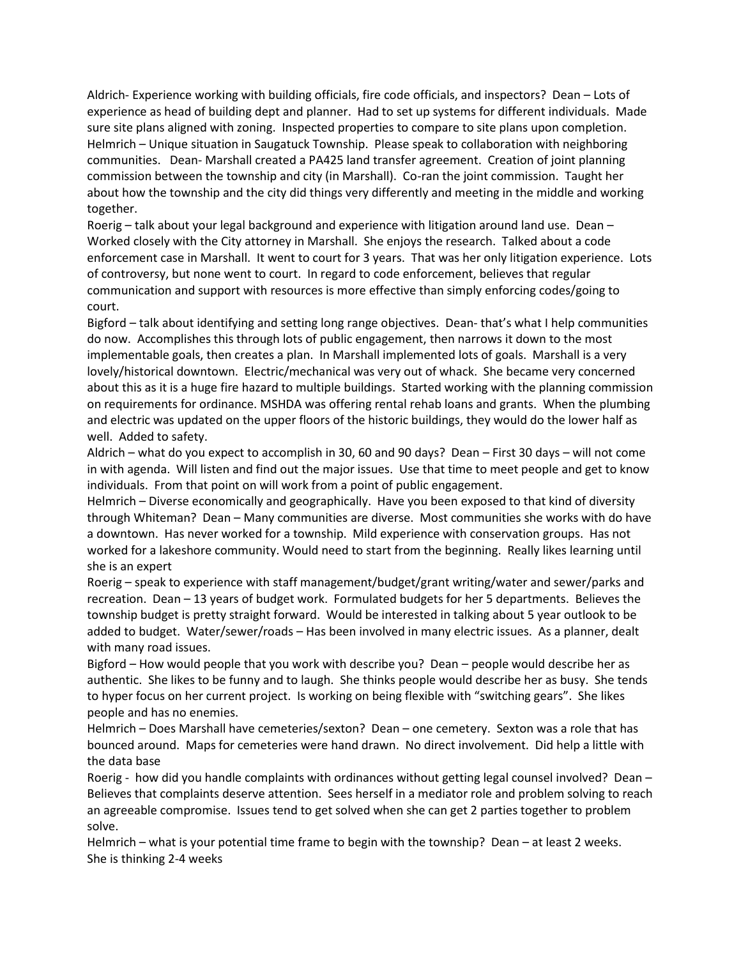Aldrich- Experience working with building officials, fire code officials, and inspectors? Dean – Lots of experience as head of building dept and planner. Had to set up systems for different individuals. Made sure site plans aligned with zoning. Inspected properties to compare to site plans upon completion. Helmrich – Unique situation in Saugatuck Township. Please speak to collaboration with neighboring communities. Dean- Marshall created a PA425 land transfer agreement. Creation of joint planning commission between the township and city (in Marshall). Co-ran the joint commission. Taught her about how the township and the city did things very differently and meeting in the middle and working together.

Roerig – talk about your legal background and experience with litigation around land use. Dean – Worked closely with the City attorney in Marshall. She enjoys the research. Talked about a code enforcement case in Marshall. It went to court for 3 years. That was her only litigation experience. Lots of controversy, but none went to court. In regard to code enforcement, believes that regular communication and support with resources is more effective than simply enforcing codes/going to court.

Bigford – talk about identifying and setting long range objectives. Dean- that's what I help communities do now. Accomplishes this through lots of public engagement, then narrows it down to the most implementable goals, then creates a plan. In Marshall implemented lots of goals. Marshall is a very lovely/historical downtown. Electric/mechanical was very out of whack. She became very concerned about this as it is a huge fire hazard to multiple buildings. Started working with the planning commission on requirements for ordinance. MSHDA was offering rental rehab loans and grants. When the plumbing and electric was updated on the upper floors of the historic buildings, they would do the lower half as well. Added to safety.

Aldrich – what do you expect to accomplish in 30, 60 and 90 days? Dean – First 30 days – will not come in with agenda. Will listen and find out the major issues. Use that time to meet people and get to know individuals. From that point on will work from a point of public engagement.

Helmrich – Diverse economically and geographically. Have you been exposed to that kind of diversity through Whiteman? Dean – Many communities are diverse. Most communities she works with do have a downtown. Has never worked for a township. Mild experience with conservation groups. Has not worked for a lakeshore community. Would need to start from the beginning. Really likes learning until she is an expert

Roerig – speak to experience with staff management/budget/grant writing/water and sewer/parks and recreation. Dean – 13 years of budget work. Formulated budgets for her 5 departments. Believes the township budget is pretty straight forward. Would be interested in talking about 5 year outlook to be added to budget. Water/sewer/roads – Has been involved in many electric issues. As a planner, dealt with many road issues.

Bigford – How would people that you work with describe you? Dean – people would describe her as authentic. She likes to be funny and to laugh. She thinks people would describe her as busy. She tends to hyper focus on her current project. Is working on being flexible with "switching gears". She likes people and has no enemies.

Helmrich – Does Marshall have cemeteries/sexton? Dean – one cemetery. Sexton was a role that has bounced around. Maps for cemeteries were hand drawn. No direct involvement. Did help a little with the data base

Roerig - how did you handle complaints with ordinances without getting legal counsel involved? Dean -Believes that complaints deserve attention. Sees herself in a mediator role and problem solving to reach an agreeable compromise. Issues tend to get solved when she can get 2 parties together to problem solve.

Helmrich – what is your potential time frame to begin with the township? Dean – at least 2 weeks. She is thinking 2-4 weeks